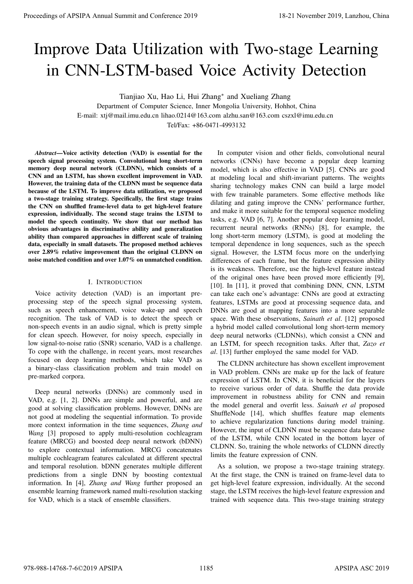# Improve Data Utilization with Two-stage Learning in CNN-LSTM-based Voice Activity Detection

Tianjiao Xu, Hao Li, Hui Zhang*<sup>∗</sup>* and Xueliang Zhang

Department of Computer Science, Inner Mongolia University, Hohhot, China E-mail: xtj@mail.imu.edu.cn lihao.0214@163.com alzhu.san@163.com cszxl@imu.edu.cn Tel/Fax: +86-0471-4993132

*Abstract*—Voice activity detection (VAD) is essential for the speech signal processing system. Convolutional long short-term memory deep neural network (CLDNN), which consists of a CNN and an LSTM, has shown excellent improvement in VAD. However, the training data of the CLDNN must be sequence data because of the LSTM. To improve data utilization, we proposed a two-stage training strategy. Specifically, the first stage trains the CNN on shuffled frame-level data to get high-level feature expression, individually. The second stage trains the LSTM to model the speech continuity. We show that our method has obvious advantages in discriminative ability and generalization ability than compared approaches in different scale of training data, especially in small datasets. The proposed method achieves over 2.89% relative improvement than the original CLDNN on noise matched condition and over 1.07% on unmatched condition.

# I. INTRODUCTION

Voice activity detection (VAD) is an important preprocessing step of the speech signal processing system, such as speech enhancement, voice wake-up and speech recognition. The task of VAD is to detect the speech or non-speech events in an audio signal, which is pretty simple for clean speech. However, for noisy speech, especially in low signal-to-noise ratio (SNR) scenario, VAD is a challenge. To cope with the challenge, in recent years, most researches focused on deep learning methods, which take VAD as a binary-class classification problem and train model on pre-marked corpora.

Deep neural networks (DNNs) are commonly used in VAD, e.g. [1, 2]. DNNs are simple and powerful, and are good at solving classification problems. However, DNNs are not good at modeling the sequential information. To provide more context information in the time sequences, *Zhang and Wang* [3] proposed to apply multi-resolution cochleagram feature (MRCG) and boosted deep neural network (bDNN) to explore contextual information. MRCG concatenates multiple cochleagram features calculated at different spectral and temporal resolution. bDNN generates multiple different predictions from a single DNN by boosting contextual information. In [4], *Zhang and Wang* further proposed an ensemble learning framework named multi-resolution stacking for VAD, which is a stack of ensemble classifiers.

In computer vision and other fields, convolutional neural networks (CNNs) have become a popular deep learning model, which is also effective in VAD [5]. CNNs are good at modeling local and shift-invariant patterns. The weights sharing technology makes CNN can build a large model with few trainable parameters. Some effective methods like dilating and gating improve the CNNs' performance further, and make it more suitable for the temporal sequence modeling tasks, e.g. VAD [6, 7]. Another popular deep learning model, recurrent neural networks (RNNs) [8], for example, the long short-term memory (LSTM), is good at modeling the temporal dependence in long sequences, such as the speech signal. However, the LSTM focus more on the underlying differences of each frame, but the feature expression ability is its weakness. Therefore, use the high-level feature instead of the original ones have been proved more efficiently [9], [10]. In [11], it proved that combining DNN, CNN, LSTM can take each one's advantage: CNNs are good at extracting features, LSTMs are good at processing sequence data, and DNNs are good at mapping features into a more separable space. With these observations, *Sainath et al*. [12] proposed a hybrid model called convolutional long short-term memory deep neural networks (CLDNNs), which consist a CNN and an LSTM, for speech recognition tasks. After that, *Zazo et al*. [13] further employed the same model for VAD. **Proceedings of APSIPA Annual Summit and Conference 2019**<br> **Improve Data Utilization with TWO-stage Learning**<br> **Improve Data Utilization with the lower and Variance 2019**<br> **Improvement Summit and Summit and Conference 201** 

The CLDNN architecture has shown excellent improvement in VAD problem. CNNs are make up for the lack of feature expression of LSTM. In CNN, it is beneficial for the layers to receive various order of data. Shuffle the data provide improvement in robustness ability for CNN and remain the model general and overfit less. *Sainath et al* proposed ShuffleNode [14], which shuffles feature map elements to achieve regularization functions during model training. However, the input of CLDNN must be sequence data because of the LSTM, while CNN located in the bottom layer of CLDNN. So, training the whole networks of CLDNN directly limits the feature expression of CNN.

As a solution, we propose a two-stage training strategy. At the first stage, the CNN is trained on frame-level data to get high-level feature expression, individually. At the second stage, the LSTM receives the high-level feature expression and trained with sequence data. This two-stage training strategy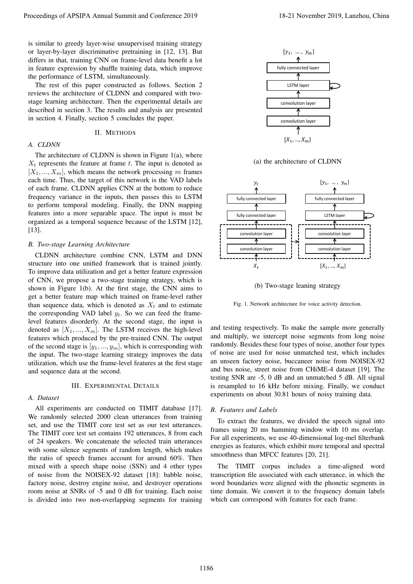is similar to greedy layer-wise unsupervised training strategy or layer-by-layer discriminative pretraining in [12, 13]. But differs in that, training CNN on frame-level data benefit a lot in feature expression by shuffle training data, which improve the performance of LSTM, simultaneously.

The rest of this paper constructed as follows. Section 2 reviews the architecture of CLDNN and compared with twostage learning architecture. Then the experimental details are described in section 3. The results and analysis are presented in section 4. Finally, section 5 concludes the paper.

# II. METHODS

## *A. CLDNN*

The architecture of CLDNN is shown in Figure 1(a), where  $X_t$  represents the feature at frame  $t$ . The input is denoted as  $[X_1, ..., X_m]$ , which means the network processing *m* frames each time. Thus, the target of this network is the VAD labels of each frame. CLDNN applies CNN at the bottom to reduce frequency variance in the inputs, then passes this to LSTM to perform temporal modeling. Finally, the DNN mapping features into a more separable space. The input is must be organized as a temporal sequence because of the LSTM [12], [13].

#### *B. Two-stage Learning Architecture*

CLDNN architecture combine CNN, LSTM and DNN structure into one unified framework that is trained jointly. To improve data utilization and get a better feature expression of CNN, we propose a two-stage training strategy, which is shown in Figure 1(b). At the first stage, the CNN aims to get a better feature map which trained on frame-level rather than sequence data, which is denoted as  $X_t$  and to estimate the corresponding VAD label *yt*. So we can feed the framelevel features disorderly. At the second stage, the input is denoted as  $[X_1, ..., X_m]$ . The LSTM receives the high-level features which produced by the pre-trained CNN. The output of the second stage is  $[y_1, ..., y_m]$ , which is corresponding with the input. The two-stage learning strategy improves the data utilization, which use the frame-level features at the first stage and sequence data at the second. Proceedings of APSIPA Annual Summit and Conference 2019<br>
Conference 2019 18-21 November 2019, Conference 2019<br>
and Conference 2019 18-21 November 2019, Conference 2019, Conference 2019<br>
in Frontier Consider Summit and Con

## III. EXPERIMENTAL DETAILS

## *A. Dataset*

All experiments are conducted on TIMIT database [17]. We randomly selected 2000 clean utterances from training set, and use the TIMIT core test set as our test utterances. The TIMIT core test set contains 192 utterances, 8 from each of 24 speakers. We concatenate the selected train utterances with some silence segments of random length, which makes the ratio of speech frames account for around 60%. Then mixed with a speech shape noise (SSN) and 4 other types of noise from the NOISEX-92 dataset [18]: babble noise, factory noise, destroy engine noise, and destroyer operations room noise at SNRs of -5 and 0 dB for training. Each noise is divided into two non-overlapping segments for training



(a) the architecture of CLDNN



(b) Two-stage leaning strategy

Fig. 1. Network architecture for voice activity detection.

and testing respectively. To make the sample more generally and multiply, we intercept noise segments from long noise randomly. Besides these four types of noise, another four types of noise are used for noise unmatched test, which includes an unseen factory noise, buccaneer noise from NOISEX-92 and bus noise, street noise from CHiME-4 dataset [19]. The testing SNR are -5, 0 dB and an unmatched 5 dB. All signal is resampled to 16 kHz before mixing. Finally, we conduct experiments on about 30.81 hours of noisy training data.

#### *B. Features and Labels*

To extract the features, we divided the speech signal into frames using 20 ms hamming window with 10 ms overlap. For all experiments, we use 40-dimensional log-mel filterbank energies as features, which exhibit more temporal and spectral smoothness than MFCC features [20, 21].

The TIMIT corpus includes a time-aligned word transcription file associated with each utterance, in which the word boundaries were aligned with the phonetic segments in time domain. We convert it to the frequency domain labels which can correspond with features for each frame.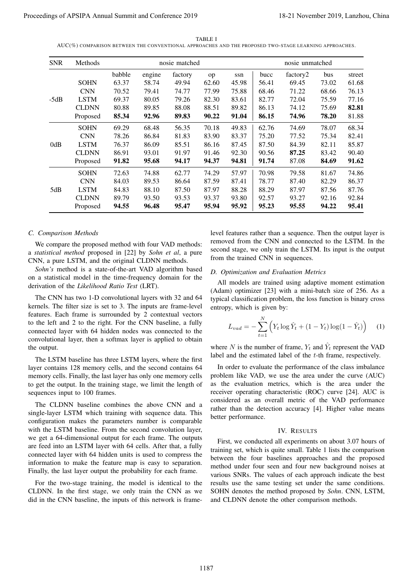|                                                                                                          | TABLE I |  |  |
|----------------------------------------------------------------------------------------------------------|---------|--|--|
| $AUC(\%)$ COMPARISON BETWEEN THE CONVENTIONAL APPROACHES AND THE PROPOSED TWO-STAGE LEARNING APPROACHES. |         |  |  |

|                                               | Methods                     |                |                | nosie matched                                                                                                                                                                                                                                                                                                                                                                                                                                                                                                                                                                                                                                                                                                                                                                                                                                                                                                                                                      |                                                                |                                                                                   |                                  | nosie unmatched                                                                                                                                                                                                                                                                                                                                                                                                                                                                                                                                                                                                                                                                            |                |                |
|-----------------------------------------------|-----------------------------|----------------|----------------|--------------------------------------------------------------------------------------------------------------------------------------------------------------------------------------------------------------------------------------------------------------------------------------------------------------------------------------------------------------------------------------------------------------------------------------------------------------------------------------------------------------------------------------------------------------------------------------------------------------------------------------------------------------------------------------------------------------------------------------------------------------------------------------------------------------------------------------------------------------------------------------------------------------------------------------------------------------------|----------------------------------------------------------------|-----------------------------------------------------------------------------------|----------------------------------|--------------------------------------------------------------------------------------------------------------------------------------------------------------------------------------------------------------------------------------------------------------------------------------------------------------------------------------------------------------------------------------------------------------------------------------------------------------------------------------------------------------------------------------------------------------------------------------------------------------------------------------------------------------------------------------------|----------------|----------------|
|                                               |                             | babble         | engine         | factory                                                                                                                                                                                                                                                                                                                                                                                                                                                                                                                                                                                                                                                                                                                                                                                                                                                                                                                                                            | op                                                             | ssn                                                                               | bucc                             | factory <sub>2</sub>                                                                                                                                                                                                                                                                                                                                                                                                                                                                                                                                                                                                                                                                       | bus            | street         |
|                                               | <b>SOHN</b>                 | 63.37          | 58.74          | 49.94                                                                                                                                                                                                                                                                                                                                                                                                                                                                                                                                                                                                                                                                                                                                                                                                                                                                                                                                                              | 62.60                                                          | 45.98                                                                             | 56.41                            | 69.45                                                                                                                                                                                                                                                                                                                                                                                                                                                                                                                                                                                                                                                                                      | 73.02          | 61.68          |
|                                               | <b>CNN</b>                  | 70.52          | 79.41          | 74.77                                                                                                                                                                                                                                                                                                                                                                                                                                                                                                                                                                                                                                                                                                                                                                                                                                                                                                                                                              | 77.99                                                          | 75.88                                                                             | 68.46                            | 71.22                                                                                                                                                                                                                                                                                                                                                                                                                                                                                                                                                                                                                                                                                      | 68.66          | 76.13          |
| $-5dB$                                        | <b>LSTM</b><br><b>CLDNN</b> | 69.37<br>80.88 | 80.05<br>89.85 | 79.26<br>88.08                                                                                                                                                                                                                                                                                                                                                                                                                                                                                                                                                                                                                                                                                                                                                                                                                                                                                                                                                     | 82.30<br>88.51                                                 | 83.61<br>89.82                                                                    | 82.77<br>86.13                   | 72.04<br>74.12                                                                                                                                                                                                                                                                                                                                                                                                                                                                                                                                                                                                                                                                             | 75.59<br>75.69 | 77.16<br>82.81 |
|                                               | Proposed                    | 85.34          | 92.96          | 89.83                                                                                                                                                                                                                                                                                                                                                                                                                                                                                                                                                                                                                                                                                                                                                                                                                                                                                                                                                              | 90.22                                                          | 91.04                                                                             | 86.15                            | 74.96                                                                                                                                                                                                                                                                                                                                                                                                                                                                                                                                                                                                                                                                                      | 78.20          | 81.88          |
|                                               | <b>SOHN</b>                 | 69.29          | 68.48          | 56.35                                                                                                                                                                                                                                                                                                                                                                                                                                                                                                                                                                                                                                                                                                                                                                                                                                                                                                                                                              | 70.18                                                          | 49.83                                                                             | 62.76                            | 74.69                                                                                                                                                                                                                                                                                                                                                                                                                                                                                                                                                                                                                                                                                      | 78.07          | 68.34          |
|                                               | <b>CNN</b>                  | 78.26          | 86.84          | 81.83                                                                                                                                                                                                                                                                                                                                                                                                                                                                                                                                                                                                                                                                                                                                                                                                                                                                                                                                                              | 83.90                                                          | 83.37                                                                             | 75.20                            | 77.52                                                                                                                                                                                                                                                                                                                                                                                                                                                                                                                                                                                                                                                                                      | 75.34          | 82.41          |
| 0dB                                           | <b>LSTM</b>                 | 76.37          | 86.09          | 85.51                                                                                                                                                                                                                                                                                                                                                                                                                                                                                                                                                                                                                                                                                                                                                                                                                                                                                                                                                              | 86.16                                                          | 87.45                                                                             | 87.50                            | 84.39                                                                                                                                                                                                                                                                                                                                                                                                                                                                                                                                                                                                                                                                                      | 82.11          | 85.87          |
|                                               | <b>CLDNN</b>                | 86.91          | 93.01          | 91.97                                                                                                                                                                                                                                                                                                                                                                                                                                                                                                                                                                                                                                                                                                                                                                                                                                                                                                                                                              | 91.46                                                          | 92.30                                                                             | 90.56                            | 87.25                                                                                                                                                                                                                                                                                                                                                                                                                                                                                                                                                                                                                                                                                      | 83.42          | 90.40          |
|                                               | Proposed                    | 91.82          | 95.68          | 94.17                                                                                                                                                                                                                                                                                                                                                                                                                                                                                                                                                                                                                                                                                                                                                                                                                                                                                                                                                              | 94.37                                                          | 94.81                                                                             | 91.74                            | 87.08                                                                                                                                                                                                                                                                                                                                                                                                                                                                                                                                                                                                                                                                                      | 84.69          | 91.62          |
|                                               | <b>SOHN</b>                 | 72.63          | 74.88          | 62.77                                                                                                                                                                                                                                                                                                                                                                                                                                                                                                                                                                                                                                                                                                                                                                                                                                                                                                                                                              | 74.29                                                          | 57.97                                                                             | 70.98                            | 79.58                                                                                                                                                                                                                                                                                                                                                                                                                                                                                                                                                                                                                                                                                      | 81.67          | 74.86          |
|                                               | <b>CNN</b>                  | 84.03          | 89.53          | 86.64                                                                                                                                                                                                                                                                                                                                                                                                                                                                                                                                                                                                                                                                                                                                                                                                                                                                                                                                                              | 87.59                                                          | 87.41                                                                             | 78.77                            | 87.40                                                                                                                                                                                                                                                                                                                                                                                                                                                                                                                                                                                                                                                                                      | 82.29          | 86.37          |
| 5dB                                           | <b>LSTM</b>                 | 84.83          | 88.10          | 87.50                                                                                                                                                                                                                                                                                                                                                                                                                                                                                                                                                                                                                                                                                                                                                                                                                                                                                                                                                              | 87.97                                                          | 88.28                                                                             | 88.29                            | 87.97                                                                                                                                                                                                                                                                                                                                                                                                                                                                                                                                                                                                                                                                                      | 87.56          | 87.76          |
|                                               | <b>CLDNN</b><br>Proposed    | 89.79<br>94.55 | 93.50<br>96.48 | 93.53<br>95.47                                                                                                                                                                                                                                                                                                                                                                                                                                                                                                                                                                                                                                                                                                                                                                                                                                                                                                                                                     | 93.37<br>95.94                                                 | 93.80<br>95.92                                                                    | 92.57<br>95.23                   | 93.27<br>95.55                                                                                                                                                                                                                                                                                                                                                                                                                                                                                                                                                                                                                                                                             | 92.16<br>94.22 | 92.84<br>95.41 |
|                                               |                             |                |                |                                                                                                                                                                                                                                                                                                                                                                                                                                                                                                                                                                                                                                                                                                                                                                                                                                                                                                                                                                    |                                                                |                                                                                   |                                  |                                                                                                                                                                                                                                                                                                                                                                                                                                                                                                                                                                                                                                                                                            |                |                |
| the output.<br>sequences input to 100 frames. |                             |                |                | The CNN has two 1-D convolutional layers with 32 and 64<br>kernels. The filter size is set to 3. The inputs are frame-level<br>features. Each frame is surrounded by 2 contextual vectors<br>to the left and 2 to the right. For the CNN baseline, a fully<br>connected layer with 64 hidden nodes was connected to the<br>convolutional layer, then a softmax layer is applied to obtain<br>The LSTM baseline has three LSTM layers, where the first<br>layer contains 128 memory cells, and the second contains 64<br>memory cells. Finally, the last layer has only one memory cells<br>to get the output. In the training stage, we limit the length of<br>The CLDNN baseline combines the above CNN and a<br>single-layer LSTM which training with sequence data. This<br>configuration makes the parameters number is comparable<br>with the LSTM baseline. From the second convolution layer,<br>we get a 64-dimensional output for each frame. The outputs | are feed into an LSTM layer with 64 cells. After that, a fully | better performance.<br>First, we conducted all experiments on about 3.07 hours of | entropy, which is given by:<br>N | typical classification problem, the loss function is binary cross<br>$L_{vad} = -\sum_{t=1} (Y_t \log \hat{Y}_t + (1 - Y_t) \log(1 - \hat{Y}_t))$<br>where N is the number of frame, $Y_t$ and $\hat{Y}_t$ represent the VAD<br>label and the estimated label of the $t$ -th frame, respectively.<br>In order to evaluate the performance of the class imbalance<br>problem like VAD, we use the area under the curve (AUC)<br>as the evaluation metrics, which is the area under the<br>receiver operating characteristic (ROC) curve [24]. AUC is<br>considered as an overall metric of the VAD performance<br>rather than the detection accuracy [4]. Higher value means<br>IV. RESULTS |                |                |

# *C. Comparison Methods*

#### *D. Optimization and Evaluation Metrics*

$$
L_{vad} = -\sum_{t=1}^{N} \left( Y_t \log \hat{Y}_t + (1 - Y_t) \log(1 - \hat{Y}_t) \right) \tag{1}
$$

# IV. RESULTS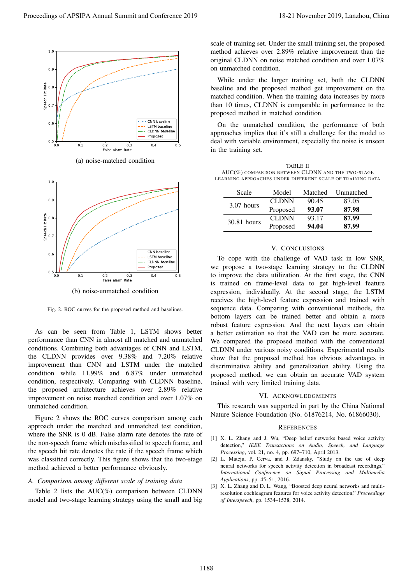

(a) noise-matched condition



(b) noise-unmatched condition

Fig. 2. ROC curves for the proposed method and baselines.

As can be seen from Table 1, LSTM shows better performance than CNN in almost all matched and unmatched conditions. Combining both advantages of CNN and LSTM, the CLDNN provides over 9.38% and 7.20% relative improvement than CNN and LSTM under the matched condition while 11.99% and 6.87% under unmatched condition, respectively. Comparing with CLDNN baseline, the proposed architecture achieves over 2.89% relative improvement on noise matched condition and over 1.07% on unmatched condition.

Figure 2 shows the ROC curves comparison among each approach under the matched and unmatched test condition, where the SNR is 0 dB. False alarm rate denotes the rate of the non-speech frame which misclassified to speech frame, and the speech hit rate denotes the rate if the speech frame which was classified correctly. This figure shows that the two-stage method achieved a better performance obviously.

## *A. Comparison among different scale of training data*

Table 2 lists the  $AUC(\%)$  comparison between CLDNN model and two-stage learning strategy using the small and big scale of training set. Under the small training set, the proposed method achieves over 2.89% relative improvement than the original CLDNN on noise matched condition and over 1.07% on unmatched condition.

While under the larger training set, both the CLDNN baseline and the proposed method get improvement on the matched condition. When the training data increases by more than 10 times, CLDNN is comparable in performance to the proposed method in matched condition.

On the unmatched condition, the performance of both approaches implies that it's still a challenge for the model to deal with variable environment, especially the noise is unseen in the training set.

TABLE II AUC(%) COMPARISON BETWEEN CLDNN AND THE TWO-STAGE LEARNING APPROACHES UNDER DIFFERENT SCALE OF TRAINING DATA

| Scale        | Model        | Matched | <b>Unmatched</b> |
|--------------|--------------|---------|------------------|
| $3.07$ hours | <b>CLDNN</b> | 90.45   | 87.05            |
|              | Proposed     | 93.07   | 87.98            |
| 30.81 hours  | <b>CLDNN</b> | 93.17   | 87.99            |
|              | Proposed     | 94.04   | 87.99            |

## V. CONCLUSIONS

To cope with the challenge of VAD task in low SNR, we propose a two-stage learning strategy to the CLDNN to improve the data utilization. At the first stage, the CNN is trained on frame-level data to get high-level feature expression, individually. At the second stage, the LSTM receives the high-level feature expression and trained with sequence data. Comparing with conventional methods, the bottom layers can be trained better and obtain a more robust feature expression. And the next layers can obtain a better estimation so that the VAD can be more accurate. We compared the proposed method with the conventional CLDNN under various noisy conditions. Experimental results show that the proposed method has obvious advantages in discriminative ability and generalization ability. Using the proposed method, we can obtain an accurate VAD system trained with very limited training data. Proceedings of APSIPA Annual Summit and Conference 2019<br>
The conference 2019 in the conference 2019 in the conference 2019 in the conference 2019 in the conference 2019 in the conference 2019 in the conference 2019 in the

#### VI. ACKNOWLEDGMENTS

This research was supported in part by the China National Nature Science Foundation (No. 61876214, No. 61866030).

#### **REFERENCES**

- [1] X. L. Zhang and J. Wu, "Deep belief networks based voice activity detection," *IEEE Transactions on Audio, Speech, and Language Processing*, vol. 21, no. 4, pp. 697–710, April 2013.
- [2] L. Mateju, P. Cerva, and J. Zdansky, "Study on the use of deep neural networks for speech activity detection in broadcast recordings," *International Conference on Signal Processing and Multimedia Applications*, pp. 45–51, 2016.
- [3] X. L. Zhang and D. L. Wang, "Boosted deep neural networks and multiresolution cochleagram features for voice activity detection," *Proceedings of Interspeech*, pp. 1534–1538, 2014.